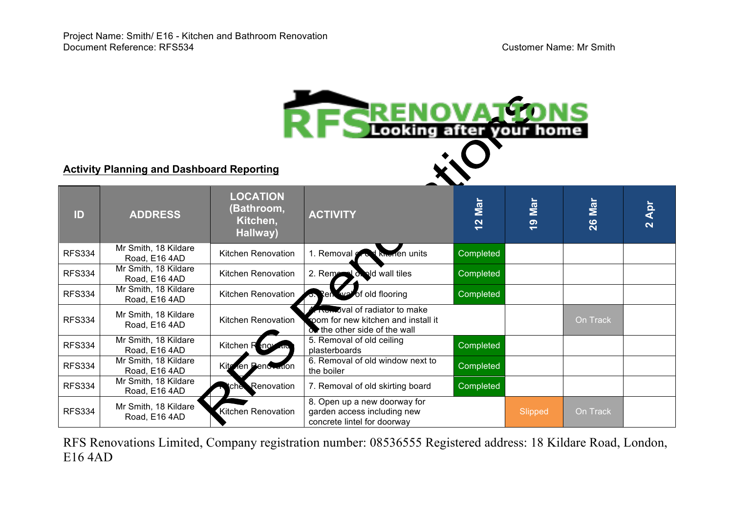| <b>RESPERIOU AT TONS</b><br><b>Activity Planning and Dashboard Reporting</b> |                                       |                                                       |                                                                                                            |           |                         |          |                                |  |  |
|------------------------------------------------------------------------------|---------------------------------------|-------------------------------------------------------|------------------------------------------------------------------------------------------------------------|-----------|-------------------------|----------|--------------------------------|--|--|
| ID                                                                           | <b>ADDRESS</b>                        | <b>LOCATION</b><br>(Bathroom,<br>Kitchen,<br>Hallway) | <b>ACTIVITY</b>                                                                                            | 12 Mar    | Mar<br>၈<br>$\ddotmark$ | 26 Mar   | Apr<br>$\overline{\mathbf{N}}$ |  |  |
| <b>RFS334</b>                                                                | Mr Smith, 18 Kildare<br>Road, E16 4AD | Kitchen Renovation                                    | 1. Removal<br>knorien units                                                                                | Completed |                         |          |                                |  |  |
| <b>RFS334</b>                                                                | Mr Smith, 18 Kildare<br>Road, E16 4AD | Kitchen Renovation                                    | 2. Remain I of ald wall tiles                                                                              | Completed |                         |          |                                |  |  |
| <b>RFS334</b>                                                                | Mr Smith, 18 Kildare<br>Road, E16 4AD | Kitchen Renovation                                    | Renove of old flooring                                                                                     | Completed |                         |          |                                |  |  |
| <b>RFS334</b>                                                                | Mr Smith, 18 Kildare<br>Road, E16 4AD | Kitchen Renovation                                    | <b>Removal of radiator to make</b><br>room for new kitchen and install it<br>ow the other side of the wall |           |                         | On Track |                                |  |  |
| <b>RFS334</b>                                                                | Mr Smith, 18 Kildare<br>Road, E16 4AD | Kitchen R <sub>enov</sub>                             | 5. Removal of old ceiling<br>plasterboards                                                                 | Completed |                         |          |                                |  |  |
| <b>RFS334</b>                                                                | Mr Smith, 18 Kildare<br>Road, E16 4AD | Kita<br>Ten Peno Ladon                                | 6. Removal of old window next to<br>the boiler                                                             | Completed |                         |          |                                |  |  |
| <b>RFS334</b>                                                                | Mr Smith, 18 Kildare<br>Road, E16 4AD | tche Renovation                                       | 7. Removal of old skirting board                                                                           | Completed |                         |          |                                |  |  |
| <b>RFS334</b>                                                                | Mr Smith, 18 Kildare<br>Road, E16 4AD | Kitchen Renovation                                    | 8. Open up a new doorway for<br>garden access including new<br>concrete lintel for doorway                 |           | Slipped                 | On Track |                                |  |  |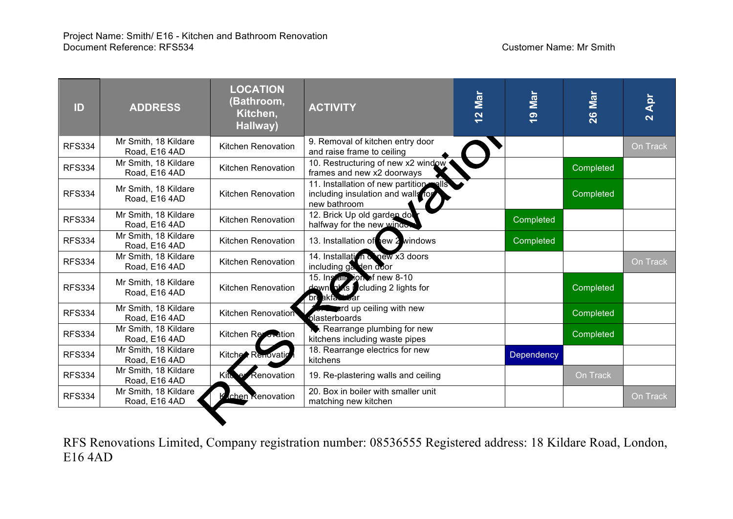| ID            | <b>ADDRESS</b>                        | <b>LOCATION</b><br>(Bathroom,<br>Kitchen,<br>Hallway) | <b>ACTIVITY</b>                                                                         | Mar<br>$\frac{2}{3}$ | Mar<br><u>ဇ</u>   | Mar<br>26 | Apr<br>$\overline{\mathbf{N}}$ |
|---------------|---------------------------------------|-------------------------------------------------------|-----------------------------------------------------------------------------------------|----------------------|-------------------|-----------|--------------------------------|
| <b>RFS334</b> | Mr Smith, 18 Kildare<br>Road, E16 4AD | Kitchen Renovation                                    | 9. Removal of kitchen entry door<br>and raise frame to ceiling                          |                      |                   |           | On Track                       |
| <b>RFS334</b> | Mr Smith, 18 Kildare<br>Road, E16 4AD | Kitchen Renovation                                    | 10. Restructuring of new x2 window<br>frames and new x2 doorways                        |                      |                   | Completed |                                |
| <b>RFS334</b> | Mr Smith, 18 Kildare<br>Road, E16 4AD | Kitchen Renovation                                    | 11. Installation of new partition<br>including insulation and walls for<br>new bathroom |                      |                   | Completed |                                |
| <b>RFS334</b> | Mr Smith, 18 Kildare<br>Road, E16 4AD | Kitchen Renovation                                    | 12. Brick Up old garden do<br>halfway for the new window                                |                      | Completed         |           |                                |
| <b>RFS334</b> | Mr Smith, 18 Kildare<br>Road, E16 4AD | Kitchen Renovation                                    | 13. Installation of yew 2 windows                                                       |                      | Completed         |           |                                |
| <b>RFS334</b> | Mr Smith, 18 Kildare<br>Road, E16 4AD | <b>Kitchen Renovation</b>                             | 14. Installation & new x3 doors<br>including gas den door                               |                      |                   |           | On Track                       |
| <b>RFS334</b> | Mr Smith, 18 Kildare<br>Road, E16 4AD | Kitchen Renovation                                    | 15. Install algorithment new 8-10<br>down plas including 2 lights for<br>bri akfatta da |                      |                   | Completed |                                |
| <b>RFS334</b> | Mr Smith, 18 Kildare<br>Road, E16 4AD | Kitchen Renovation                                    | ard up ceiling with new<br>blasterboards                                                |                      |                   | Completed |                                |
| <b>RFS334</b> | Mr Smith, 18 Kildare<br>Road, E16 4AD | Kitchen Recovation                                    | Rearrange plumbing for new<br>kitchens including waste pipes                            |                      |                   | Completed |                                |
| <b>RFS334</b> | Mr Smith, 18 Kildare<br>Road, E16 4AD | Kitche Renovatic                                      | 18. Rearrange electrics for new<br>kitchens                                             |                      | <b>Dependency</b> |           |                                |
| <b>RFS334</b> | Mr Smith, 18 Kildare<br>Road, E16 4AD | <b>Renovation</b><br>Kito                             | 19. Re-plastering walls and ceiling                                                     |                      |                   | On Track  |                                |
| <b>RFS334</b> | Mr Smith, 18 Kildare<br>Road, E16 4AD | rchen Renovation                                      | 20. Box in boiler with smaller unit<br>matching new kitchen                             |                      |                   |           | On Track                       |
|               |                                       |                                                       |                                                                                         |                      |                   |           |                                |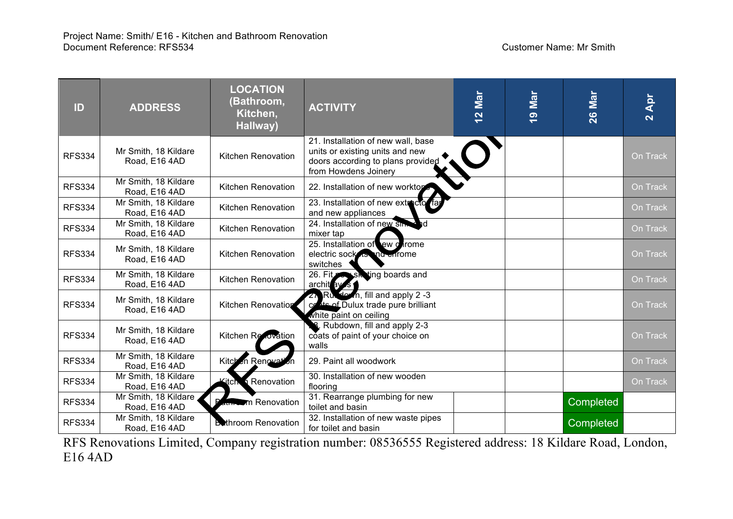| ID            | <b>ADDRESS</b>                        | <b>LOCATION</b><br>(Bathroom,<br>Kitchen,<br>Hallway) | <b>ACTIVITY</b>                                                                                                                    | Mar<br>$\frac{2}{3}$ | Mar<br>$\frac{1}{2}$ | Mar<br>26 | Apr<br>$\overline{\mathbf{N}}$ |
|---------------|---------------------------------------|-------------------------------------------------------|------------------------------------------------------------------------------------------------------------------------------------|----------------------|----------------------|-----------|--------------------------------|
| <b>RFS334</b> | Mr Smith, 18 Kildare<br>Road, E16 4AD | Kitchen Renovation                                    | 21. Installation of new wall, base<br>units or existing units and new<br>doors according to plans provided<br>from Howdens Joinery |                      |                      |           | On Track                       |
| <b>RFS334</b> | Mr Smith, 18 Kildare<br>Road, E16 4AD | Kitchen Renovation                                    | 22. Installation of new worktop                                                                                                    |                      |                      |           | On Track                       |
| <b>RFS334</b> | Mr Smith, 18 Kildare<br>Road, E16 4AD | Kitchen Renovation                                    | 23. Installation of new extractor fa<br>and new appliances                                                                         |                      |                      |           | On Track                       |
| <b>RFS334</b> | Mr Smith, 18 Kildare<br>Road, E16 4AD | Kitchen Renovation                                    | 24. Installation of new sim<br>- hd<br>mixer tap                                                                                   |                      |                      |           | On Track                       |
| <b>RFS334</b> | Mr Smith, 18 Kildare<br>Road, E16 4AD | Kitchen Renovation                                    | 25. Installation of ew corome<br>electric sockets the enfome<br>switches                                                           |                      |                      |           | On Track                       |
| <b>RFS334</b> | Mr Smith, 18 Kildare<br>Road, E16 4AD | Kitchen Renovation                                    | 26. Fit Solsk ting boards and<br>archit av s                                                                                       |                      |                      |           | On Track                       |
| <b>RFS334</b> | Mr Smith, 18 Kildare<br>Road, E16 4AD | Kitchen Renovation                                    | $2\sqrt{R}$ Ru, slown, fill and apply 2 -3<br>conte of Dulux trade pure brilliant<br>white paint on ceiling                        |                      |                      |           | On Track                       |
| <b>RFS334</b> | Mr Smith, 18 Kildare<br>Road, E16 4AD | Kitchen Revovation                                    | R. Rubdown, fill and apply 2-3<br>coats of paint of your choice on<br>walls                                                        |                      |                      |           | On Track                       |
| <b>RFS334</b> | Mr Smith, 18 Kildare<br>Road, E16 4AD | Kitch en Renovation                                   | 29. Paint all woodwork                                                                                                             |                      |                      |           | On Track                       |
| <b>RFS334</b> | Mr Smith, 18 Kildare<br>Road, E16 4AD | <b>Renovation</b><br>∕itch.                           | 30. Installation of new wooden<br>flooring                                                                                         |                      |                      |           | On Track                       |
| <b>RFS334</b> | Mr Smith, 18 Kildare<br>Road, E16 4AD | m Renovation                                          | 31. Rearrange plumbing for new<br>toilet and basin                                                                                 |                      |                      | Completed |                                |
| <b>RFS334</b> | Mr Smith, 18 Kildare<br>Road, E16 4AD | <b>Buthroom Renovation</b>                            | 32. Installation of new waste pipes<br>for toilet and basin                                                                        |                      |                      | Completed |                                |